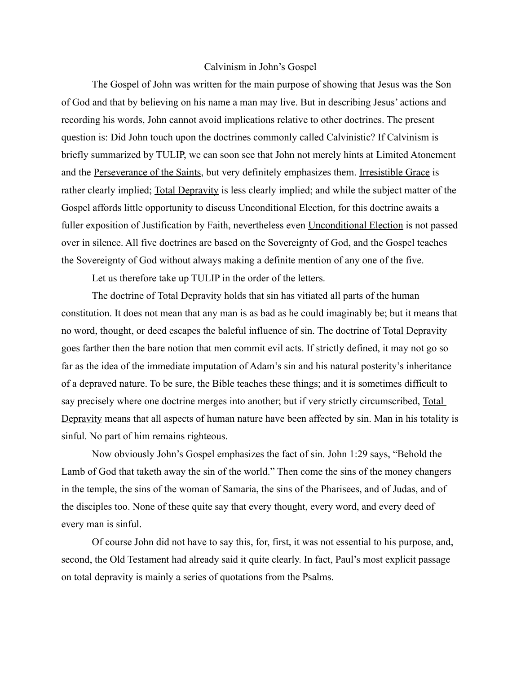## Calvinism in John's Gospel

The Gospel of John was written for the main purpose of showing that Jesus was the Son of God and that by believing on his name a man may live. But in describing Jesus' actions and recording his words, John cannot avoid implications relative to other doctrines. The present question is: Did John touch upon the doctrines commonly called Calvinistic? If Calvinism is briefly summarized by TULIP, we can soon see that John not merely hints at Limited Atonement and the Perseverance of the Saints, but very definitely emphasizes them. Irresistible Grace is rather clearly implied; Total Depravity is less clearly implied; and while the subject matter of the Gospel affords little opportunity to discuss Unconditional Election, for this doctrine awaits a fuller exposition of Justification by Faith, nevertheless even Unconditional Election is not passed over in silence. All five doctrines are based on the Sovereignty of God, and the Gospel teaches the Sovereignty of God without always making a definite mention of any one of the five.

Let us therefore take up TULIP in the order of the letters.

The doctrine of Total Depravity holds that sin has vitiated all parts of the human constitution. It does not mean that any man is as bad as he could imaginably be; but it means that no word, thought, or deed escapes the baleful influence of sin. The doctrine of Total Depravity goes farther then the bare notion that men commit evil acts. If strictly defined, it may not go so far as the idea of the immediate imputation of Adam's sin and his natural posterity's inheritance of a depraved nature. To be sure, the Bible teaches these things; and it is sometimes difficult to say precisely where one doctrine merges into another; but if very strictly circumscribed, Total Depravity means that all aspects of human nature have been affected by sin. Man in his totality is sinful. No part of him remains righteous.

Now obviously John's Gospel emphasizes the fact of sin. John 1:29 says, "Behold the Lamb of God that taketh away the sin of the world." Then come the sins of the money changers in the temple, the sins of the woman of Samaria, the sins of the Pharisees, and of Judas, and of the disciples too. None of these quite say that every thought, every word, and every deed of every man is sinful.

Of course John did not have to say this, for, first, it was not essential to his purpose, and, second, the Old Testament had already said it quite clearly. In fact, Paul's most explicit passage on total depravity is mainly a series of quotations from the Psalms.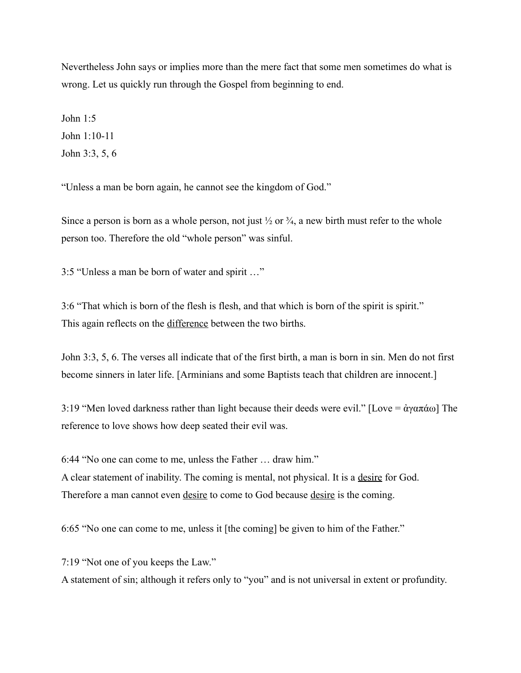Nevertheless John says or implies more than the mere fact that some men sometimes do what is wrong. Let us quickly run through the Gospel from beginning to end.

John  $1:5$ John 1:10-11 John 3:3, 5, 6

"Unless a man be born again, he cannot see the kingdom of God."

Since a person is born as a whole person, not just  $\frac{1}{2}$  or  $\frac{3}{4}$ , a new birth must refer to the whole person too. Therefore the old "whole person" was sinful.

3:5 "Unless a man be born of water and spirit …"

3:6 "That which is born of the flesh is flesh, and that which is born of the spirit is spirit." This again reflects on the difference between the two births.

John 3:3, 5, 6. The verses all indicate that of the first birth, a man is born in sin. Men do not first become sinners in later life. [Arminians and some Baptists teach that children are innocent.]

3:19 "Men loved darkness rather than light because their deeds were evil." [Love = ἀγαπάω] The reference to love shows how deep seated their evil was.

6:44 "No one can come to me, unless the Father … draw him." A clear statement of inability. The coming is mental, not physical. It is a desire for God. Therefore a man cannot even desire to come to God because desire is the coming.

6:65 "No one can come to me, unless it [the coming] be given to him of the Father."

7:19 "Not one of you keeps the Law."

A statement of sin; although it refers only to "you" and is not universal in extent or profundity.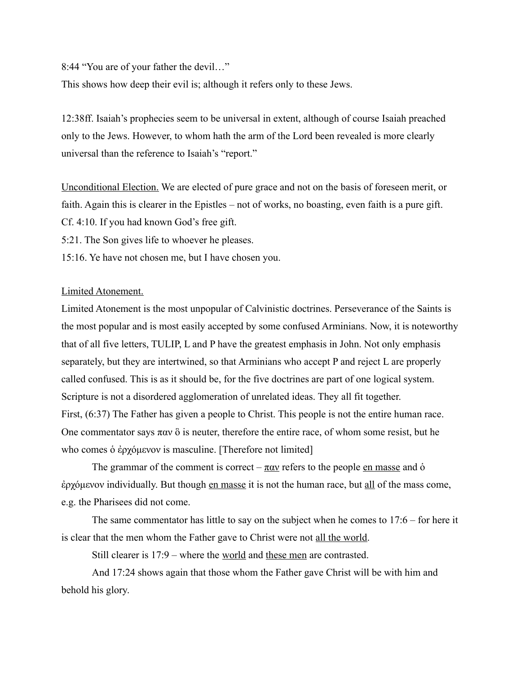8:44 "You are of your father the devil…"

This shows how deep their evil is; although it refers only to these Jews.

12:38ff. Isaiah's prophecies seem to be universal in extent, although of course Isaiah preached only to the Jews. However, to whom hath the arm of the Lord been revealed is more clearly universal than the reference to Isaiah's "report."

Unconditional Election. We are elected of pure grace and not on the basis of foreseen merit, or faith. Again this is clearer in the Epistles – not of works, no boasting, even faith is a pure gift. Cf. 4:10. If you had known God's free gift.

5:21. The Son gives life to whoever he pleases.

15:16. Ye have not chosen me, but I have chosen you.

## Limited Atonement.

Limited Atonement is the most unpopular of Calvinistic doctrines. Perseverance of the Saints is the most popular and is most easily accepted by some confused Arminians. Now, it is noteworthy that of all five letters, TULIP, L and P have the greatest emphasis in John. Not only emphasis separately, but they are intertwined, so that Arminians who accept P and reject L are properly called confused. This is as it should be, for the five doctrines are part of one logical system. Scripture is not a disordered agglomeration of unrelated ideas. They all fit together. First, (6:37) The Father has given a people to Christ. This people is not the entire human race. One commentator says  $\pi \omega$   $\delta$  is neuter, therefore the entire race, of whom some resist, but he who comes ὁ ἐρχόμενον is masculine. [Therefore not limited]

The grammar of the comment is correct –  $\frac{\pi a v}{\pi a v}$  refers to the people en masse and  $\dot{\sigma}$ ἐρχόμενον individually. But though en masse it is not the human race, but all of the mass come, e.g. the Pharisees did not come.

The same commentator has little to say on the subject when he comes to 17:6 – for here it is clear that the men whom the Father gave to Christ were not all the world.

Still clearer is 17:9 – where the <u>world</u> and these men are contrasted.

And 17:24 shows again that those whom the Father gave Christ will be with him and behold his glory.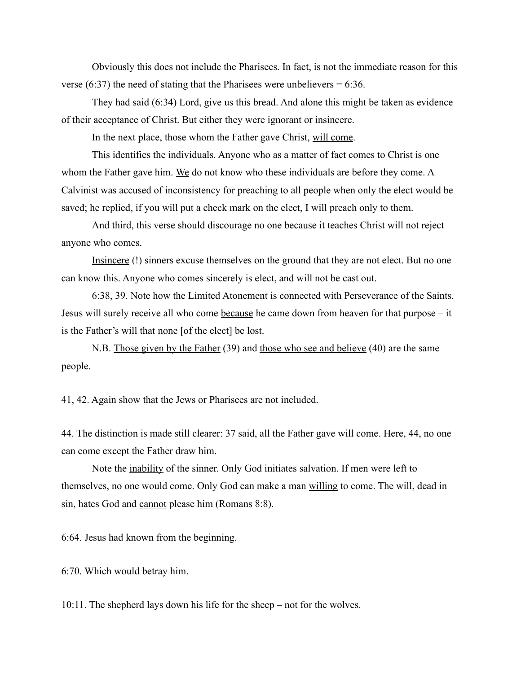Obviously this does not include the Pharisees. In fact, is not the immediate reason for this verse (6:37) the need of stating that the Pharisees were unbelievers  $= 6:36$ .

They had said (6:34) Lord, give us this bread. And alone this might be taken as evidence of their acceptance of Christ. But either they were ignorant or insincere.

In the next place, those whom the Father gave Christ, will come.

This identifies the individuals. Anyone who as a matter of fact comes to Christ is one whom the Father gave him. We do not know who these individuals are before they come. A Calvinist was accused of inconsistency for preaching to all people when only the elect would be saved; he replied, if you will put a check mark on the elect, I will preach only to them.

And third, this verse should discourage no one because it teaches Christ will not reject anyone who comes.

Insincere (!) sinners excuse themselves on the ground that they are not elect. But no one can know this. Anyone who comes sincerely is elect, and will not be cast out.

6:38, 39. Note how the Limited Atonement is connected with Perseverance of the Saints. Jesus will surely receive all who come because he came down from heaven for that purpose – it is the Father's will that none [of the elect] be lost.

N.B. Those given by the Father (39) and those who see and believe (40) are the same people.

41, 42. Again show that the Jews or Pharisees are not included.

44. The distinction is made still clearer: 37 said, all the Father gave will come. Here, 44, no one can come except the Father draw him.

Note the inability of the sinner. Only God initiates salvation. If men were left to themselves, no one would come. Only God can make a man willing to come. The will, dead in sin, hates God and cannot please him (Romans 8:8).

6:64. Jesus had known from the beginning.

6:70. Which would betray him.

10:11. The shepherd lays down his life for the sheep – not for the wolves.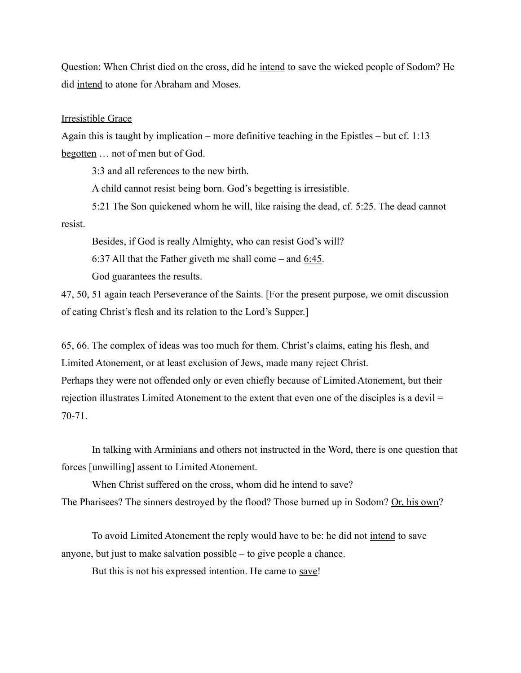Question: When Christ died on the cross, did he intend to save the wicked people of Sodom? He did intend to atone for Abraham and Moses.

Irresistible Grace

Again this is taught by implication – more definitive teaching in the Epistles – but cf. 1:13 begotten … not of men but of God.

3:3 and all references to the new birth.

A child cannot resist being born. God's begetting is irresistible.

5:21 The Son quickened whom he will, like raising the dead, cf. 5:25. The dead cannot resist.

Besides, if God is really Almighty, who can resist God's will?

6:37 All that the Father giveth me shall come – and  $6:45$ .

God guarantees the results.

47, 50, 51 again teach Perseverance of the Saints. [For the present purpose, we omit discussion of eating Christ's flesh and its relation to the Lord's Supper.]

65, 66. The complex of ideas was too much for them. Christ's claims, eating his flesh, and Limited Atonement, or at least exclusion of Jews, made many reject Christ. Perhaps they were not offended only or even chiefly because of Limited Atonement, but their rejection illustrates Limited Atonement to the extent that even one of the disciples is a devil = 70-71.

In talking with Arminians and others not instructed in the Word, there is one question that forces [unwilling] assent to Limited Atonement.

When Christ suffered on the cross, whom did he intend to save? The Pharisees? The sinners destroyed by the flood? Those burned up in Sodom? Or, his own?

To avoid Limited Atonement the reply would have to be: he did not intend to save anyone, but just to make salvation possible – to give people a chance.

But this is not his expressed intention. He came to save!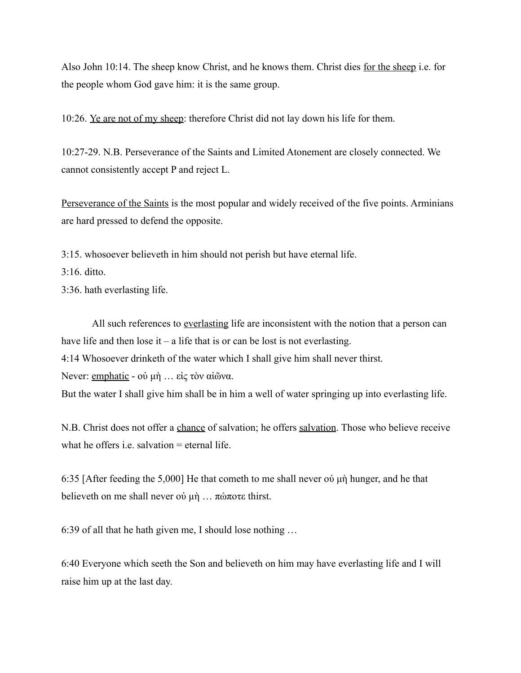Also John 10:14. The sheep know Christ, and he knows them. Christ dies for the sheep i.e. for the people whom God gave him: it is the same group.

10:26. Ye are not of my sheep: therefore Christ did not lay down his life for them.

10:27-29. N.B. Perseverance of the Saints and Limited Atonement are closely connected. We cannot consistently accept P and reject L.

Perseverance of the Saints is the most popular and widely received of the five points. Arminians are hard pressed to defend the opposite.

3:15. whosoever believeth in him should not perish but have eternal life.

 $3.16$  ditto.

3:36. hath everlasting life.

All such references to everlasting life are inconsistent with the notion that a person can have life and then lose it – a life that is or can be lost is not everlasting.

4:14 Whosoever drinketh of the water which I shall give him shall never thirst.

Never: emphatic - οὐ μὴ ... εἰς τὸν αἰῶνα.

But the water I shall give him shall be in him a well of water springing up into everlasting life.

N.B. Christ does not offer a chance of salvation; he offers salvation. Those who believe receive what he offers i.e. salvation  $=$  eternal life.

6:35 [After feeding the 5,000] He that cometh to me shall never οὐ μὴ hunger, and he that believeth on me shall never οὐ μὴ ...  $\pi \omega \pi$  thirst.

6:39 of all that he hath given me, I should lose nothing …

6:40 Everyone which seeth the Son and believeth on him may have everlasting life and I will raise him up at the last day.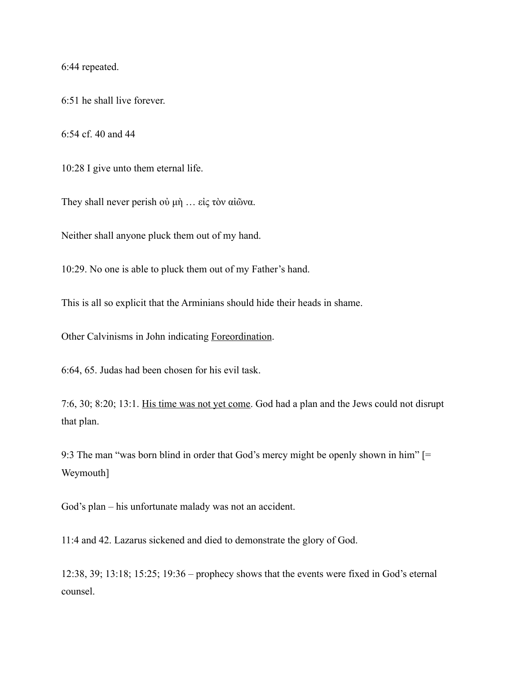6:44 repeated.

6:51 he shall live forever.

6:54 cf. 40 and 44

10:28 I give unto them eternal life.

They shall never perish οὐ μὴ … εἰς τὸν αἰῶνα.

Neither shall anyone pluck them out of my hand.

10:29. No one is able to pluck them out of my Father's hand.

This is all so explicit that the Arminians should hide their heads in shame.

Other Calvinisms in John indicating Foreordination.

6:64, 65. Judas had been chosen for his evil task.

7:6, 30; 8:20; 13:1. His time was not yet come. God had a plan and the Jews could not disrupt that plan.

9:3 The man "was born blind in order that God's mercy might be openly shown in him" [= Weymouth]

God's plan – his unfortunate malady was not an accident.

11:4 and 42. Lazarus sickened and died to demonstrate the glory of God.

12:38, 39; 13:18; 15:25; 19:36 – prophecy shows that the events were fixed in God's eternal counsel.